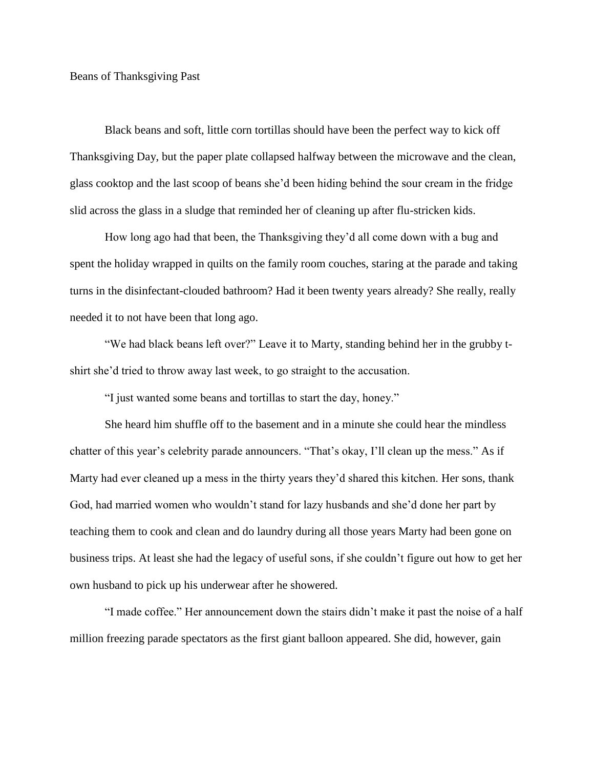## Beans of Thanksgiving Past

Black beans and soft, little corn tortillas should have been the perfect way to kick off Thanksgiving Day, but the paper plate collapsed halfway between the microwave and the clean, glass cooktop and the last scoop of beans she'd been hiding behind the sour cream in the fridge slid across the glass in a sludge that reminded her of cleaning up after flu-stricken kids.

How long ago had that been, the Thanksgiving they'd all come down with a bug and spent the holiday wrapped in quilts on the family room couches, staring at the parade and taking turns in the disinfectant-clouded bathroom? Had it been twenty years already? She really, really needed it to not have been that long ago.

"We had black beans left over?" Leave it to Marty, standing behind her in the grubby tshirt she'd tried to throw away last week, to go straight to the accusation.

"I just wanted some beans and tortillas to start the day, honey."

She heard him shuffle off to the basement and in a minute she could hear the mindless chatter of this year's celebrity parade announcers. "That's okay, I'll clean up the mess." As if Marty had ever cleaned up a mess in the thirty years they'd shared this kitchen. Her sons, thank God, had married women who wouldn't stand for lazy husbands and she'd done her part by teaching them to cook and clean and do laundry during all those years Marty had been gone on business trips. At least she had the legacy of useful sons, if she couldn't figure out how to get her own husband to pick up his underwear after he showered.

"I made coffee." Her announcement down the stairs didn't make it past the noise of a half million freezing parade spectators as the first giant balloon appeared. She did, however, gain